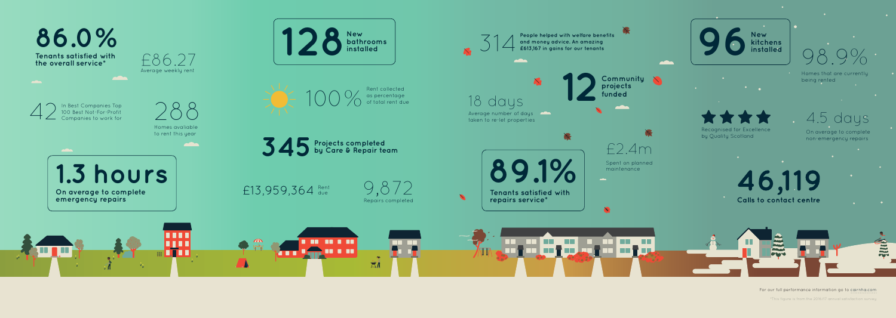

**....** 

**BO 80 8 80** 

**BO 8 88** 

 $\overline{M}$ 



\*This figure is from the 2016/17 annual satisfaction survey

For our full performance information go to cairnha.com